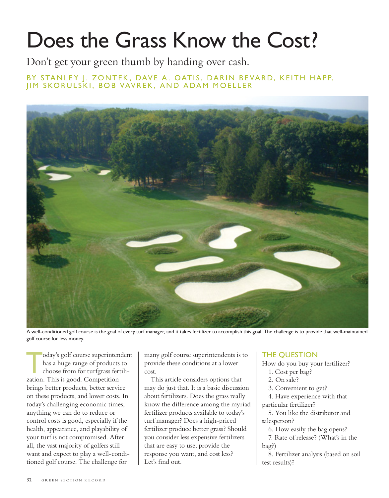# Does the Grass Know the Cost?

Don't get your green thumb by handing over cash.

BY STANLEY J. ZONTEK, DAVE A. OATIS, DARIN BEVARD, KEITH HAPP, JIM SKORULSKI, BOB VAVREK, AND ADAM MOELLER



A well-conditioned golf course is the goal of every turf manager, and it takes fertilizer to accomplish this goal. The challenge is to provide that well-maintained golf course for less money.

oday's golf course superintendent<br>has a huge range of products to<br>choose from for turfgrass fertili-<br>zation. This is good. Connection has a huge range of products to choose from for turfgrass fertilization. This is good. Competition brings better products, better service on these products, and lower costs. In today's challenging economic times, anything we can do to reduce or control costs is good, especially if the health, appearance, and playability of your turf is not compromised. After all, the vast majority of golfers still want and expect to play a well-conditioned golf course. The challenge for

many golf course superintendents is to provide these conditions at a lower cost.

This article considers options that may do just that. It is a basic discussion about fertilizers. Does the grass really know the difference among the myriad fertilizer products available to today's turf manager? Does a high-priced fertilizer produce better grass? Should you consider less expensive fertilizers that are easy to use, provide the response you want, and cost less? Let's find out.

## THE QUESTION

How do you buy your fertilizer?

- 1. Cost per bag?
- 2. On sale?

3. Convenient to get?

4. Have experience with that particular fertilizer?

5. You like the distributor and salesperson?

6. How easily the bag opens?

7. Rate of release? (What's in the bag?)

8. Fertilizer analysis (based on soil test results)?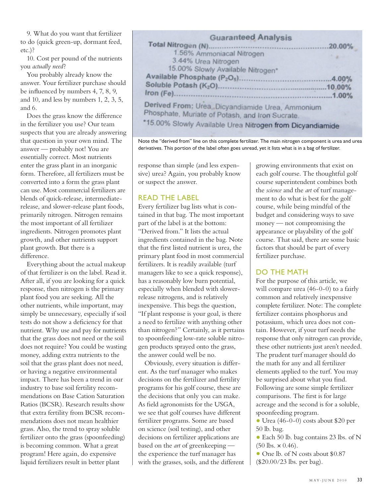9. What do you want that fertilizer to do (quick green-up, dormant feed, etc.)?

10. Cost per pound of the nutrients you *actually need*?

You probably already know the answer. Your fertilizer purchase should be influenced by numbers 4, 7, 8, 9, and 10, and less by numbers 1, 2, 3, 5, and 6.

Does the grass know the difference in the fertilizer you use? Our team suspects that you are already answering that question in your own mind. The answer — probably not! You are essentially correct. Most nutrients enter the grass plant in an inorganic form. Therefore, all fertilizers must be converted into a form the grass plant can use. Most commercial fertilizers are blends of quick-release, intermediaterelease, and slower-release plant foods, primarily nitrogen. Nitrogen remains the most important of all fertilizer ingredients. Nitrogen promotes plant growth, and other nutrients support plant growth. But there is a difference.

Everything about the actual makeup of that fertilizer is on the label. Read it. After all, if you are looking for a quick response, then nitrogen is the primary plant food you are seeking. All the other nutrients, while important, may simply be unnecessary, especially if soil tests do not show a deficiency for that nutrient. Why use and pay for nutrients that the grass does not need or the soil does not require? You could be wasting money, adding extra nutrients to the soil that the grass plant does not need, or having a negative environmental impact. There has been a trend in our industry to base soil fertility recommendations on Base Cation Saturation Ratios (BCSR). Research results show that extra fertility from BCSR recommendations does not mean healthier grass. Also, the trend to spray soluble fertilizer onto the grass (spoonfeeding) is becoming common. What a great program! Here again, do expensive liquid fertilizers result in better plant

## **Guaranteed Analysis**

|                                                                                                     | $.20.00\%$ |
|-----------------------------------------------------------------------------------------------------|------------|
| 1.56% Ammoniacal Nitrogen                                                                           |            |
| 3.44% Urea Nitrogen                                                                                 |            |
| 15.00% Slowly Available Nitrogen*                                                                   |            |
|                                                                                                     |            |
|                                                                                                     |            |
|                                                                                                     | .1.00%     |
| Derived From; Urea, Dicyandiamide Urea, Ammonium<br>Phosphate, Muriate of Potash, and Iron Sucrate. |            |
| *15.00% Slowly Available Urea Nitrogen from Dicyandiamide                                           |            |

Note the "derived from" line on this complete fertilizer. The main nitrogen component is urea and urea derivatives. This portion of the label often goes unread, yet it lists what is in a bag of fertilizer.

response than simple (and less expensive) urea? Again, you probably know or suspect the answer.

### READ THE LABEL

Every fertilizer bag lists what is contained in that bag. The most important part of the label is at the bottom: "Derived from." It lists the actual ingredients contained in the bag. Note that the first listed nutrient is urea, the primary plant food in most commercial fertilizers. It is readily available (turf managers like to see a quick response), has a reasonably low burn potential, especially when blended with slowerrelease nitrogens, and is relatively inexpensive. This begs the question, "If plant response is your goal, is there a need to fertilize with anything other than nitrogen?" Certainly, as it pertains to spoonfeeding low-rate soluble nitrogen products sprayed onto the grass, the answer could well be no.

Obviously, every situation is different. As the turf manager who makes decisions on the fertilizer and fertility programs for his golf course, these are the decisions that only you can make. As field agronomists for the USGA, we see that golf courses have different fertilizer programs. Some are based on science (soil testing), and other decisions on fertilizer applications are based on the *art* of greenkeeping the experience the turf manager has with the grasses, soils, and the different growing environments that exist on each golf course. The thoughtful golf course superintendent combines both the *science* and the *art* of turf management to do what is best for the golf course, while being mindful of the budget and considering ways to save money — not compromising the appearance or playability of the golf course. That said, there are some basic factors that should be part of every fertilizer purchase.

## DO THE MATH

For the purpose of this article, we will compare urea (46-0-0) to a fairly common and relatively inexpensive complete fertilizer. Note: The complete fertilizer contains phosphorus and potassium, which urea does not contain. However, if your turf needs the response that only nitrogen can provide, these other nutrients just aren't needed. The prudent turf manager should do the math for any and all fertilizer elements applied to the turf. You may be surprised about what you find. Following are some simple fertilizer comparisons. The first is for large acreage and the second is for a soluble, spoonfeeding program.

• Urea (46-0-0) costs about \$20 per 50 lb. bag.

• Each 50 lb. bag contains 23 lbs. of N  $(50 \text{ lbs.} \times 0.46).$ 

• One lb. of N costs about \$0.87 (\$20.00/23 lbs. per bag).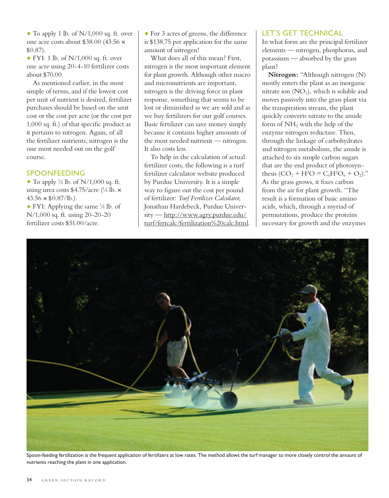• To apply 1 lb. of N/1,000 sq. ft. over one acre costs about \$38.00 (43.56 × \$0.87).

• FYI: 1 lb. of  $N/1,000$  sq. ft. over one acre using 20-4-10 fertilizer costs about \$70.00.

As mentioned earlier, in the most simple of terms, and if the lowest cost per unit of nutrient is desired, fertilizer purchases should be based on the unit cost or the cost per acre (or the cost per  $1,000$  sq. ft.) of that specific product as it pertains to nitrogen. Again, of all the fertilizer nutrients, nitrogen is the one most needed out on the golf course.

### SPOONFEEDING

• To apply  $\frac{1}{8}$  lb. of N/1,000 sq. ft. using urea costs  $$4.75/acre$  (<sup>1</sup>/<sub>8</sub> lb.  $\times$  $43.56 \times $0.87/lb.$ ).

• FYI: Applying the same  $\frac{1}{8}$  lb. of N/1,000 sq. ft. using 20-20-20 fertilizer costs \$51.00/acre.

• For 3 acres of greens, the difference is \$138.75 per application for the same amount of nitrogen!

What does all of this mean? First, nitrogen is the most important element for plant growth. Although other macro and micronutrients are important, nitrogen is the driving force in plant response, something that seems to be lost or diminished as we are sold and as we buy fertilizers for our golf courses. Basic fertilizer can save money simply because it contains higher amounts of the most needed nutrient — nitrogen. It also costs less.

To help in the calculation of actual fertilizer costs, the following is a turf fertilizer calculator website produced by Purdue University. It is a simple way to figure out the cost per pound of fertilizer: *Turf Fertilizer Calculator*, Jonathan Hardebeck, Purdue University — http://www.agry.purdue.edu/ turf/fertcalc/fertilization%20calc.html.

#### LET'S GET TECHNICAL

In what form are the principal fertilizer elements — nitrogen, phosphorus, and potassium — absorbed by the grass plant?

**Nitrogen:** "Although nitrogen (N) mostly enters the plant as an inorganic nitrate ion  $(NO<sub>3</sub>)$ , which is soluble and moves passively into the grass plant via the transpiration stream, the plant quickly converts nitrate to the amide form of  $NH<sub>2</sub>$  with the help of the enzyme nitrogen reductase. Then, through the linkage of carbohydrates and nitrogen metabolism, the amide is attached to six simple carbon sugars that are the end product of photosynthesis  $(CO_2 + H^2O = C_6H^2O_6 + O_2)$ ." As the grass grows, it fixes carbon from the air for plant growth. "The result is a formation of basic amino acids, which, through a myriad of permutations, produce the proteins necessary for growth and the enzymes



Spoon-feeding fertilization is the frequent application of fertilizers at low rates. The method allows the turf manager to more closely control the amount of nutrients reaching the plant in one application.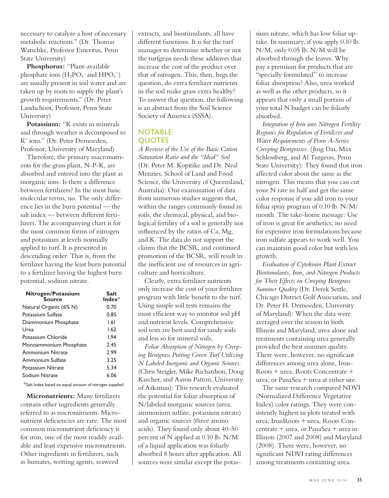necessary to catalyze a host of necessary metabolic reactions." (Dr. Thomas Watschke, Professor Emeritus, Penn State University)

**Phosphorus:** "Plant-available phosphate ions  $(H_2PO_4^-$  and  $HPO_4^-$ ) are usually present in soil water and are taken up by roots to supply the plant's growth requirements." (Dr. Peter Landschoot, Professor, Penn State University)

Potassium: "K exists in minerals and through weather is decomposed to K+ ions." (Dr. Peter Dernoeden, Professor, University of Maryland)

Therefore, the primary macronutrients for the grass plant, N-P-K, are absorbed and entered into the plant as inorganic ions. Is there a difference between fertilizers? In the most basic molecular terms, no. The only difference lies in the burn potential — the salt index — between different fertilizers. The accompanying chart is for the most common forms of nitrogen and potassium at levels normally applied to turf. It is presented in descending order. That is, from the fertilizer having the least burn potential to a fertilizer having the highest burn potential, sodium nitrate.

| Nitrogen/Potassium<br>Source | Salt<br>$Index*$ |
|------------------------------|------------------|
| Natural Organic (6% N)       | 0.70             |
| Potassium Sulfate            | 0.85             |
| Diammonium Phosphate         | 1.61             |
| Urea                         | 1.62             |
| Potassium Chloride           | 1.94             |
| Monoammonium Phosphate       | 2.45             |
| <b>Ammonium Nitrate</b>      | 2.99             |
| Ammonium Sulfate             | 3.25             |
| Potassium Nitrate            | 5.34             |
| Sodium Nitrate               | 6.06             |
|                              |                  |

#### \*Salt Index based on equal amount of nitrogen supplied

**Micronutrients:** Many fertilizers contain other ingredients generally referred to as micronutrients. Micronutrient deficiencies are rare. The most common micronutrient deficiency is for iron, one of the most readily available and least expensive micronutrients. Other ingredients in fertilizers, such as humates, wetting agents, seaweed

extracts, and biostimulants, all have different functions. It is for the turf manager to determine whether or not the turfgrass needs these additives that increase the cost of the product over that of nitrogen. This, then, begs the question, do extra fertilizer nutrients in the soil make grass extra healthy? To answer that question, the following is an abstract from the Soil Science Society of America (SSSA).

## **NOTABLE OUOTES**

*A Review of the Use of the Basic Cation Saturation Ratio and the "Ideal" Soil*  (Dr. Peter M. Kopitike and Dr. Neal Menzies, School of Land and Food Science, the University of Queensland, Australia): Our examination of data from numerous studies suggests that, within the ranges commonly found in soils, the chemical, physical, and biological fertility of a soil is generally not influenced by the ratios of  $Ca$ , Mg, and K. The data do not support the claims that the BCSR, and continued promotion of the BCSR, will result in the inefficient use of resources in agriculture and horticulture.

Clearly, extra fertilizer nutrients only increase the cost of your fertilizer program with little benefit to the turf. Using simple soil tests remains the most efficient way to monitor soil pH and nutrient levels. Comprehensive soil tests are best used for sandy soils and less so for mineral soils.

*Foliar Absorption of Nitrogen by Creeping Bentgrass Putting Green Turf Utilizing N Labeled Inorganic and Organic Sources.*  (Chris Steigler, Mike Richardson, Doug Karcher, and Aaron Patton, University of Arkansas): This research evaluated the potential for foliar absorption of N/labeled inorganic sources (urea, ammonium sulfate, potassium nitrate) and organic sources (three amino acids). They found only about 40-50 percent of N applied at 0.10 lb. N/M of a liquid application was foliarly absorbed 8 hours after application. All sources were similar except the potassium nitrate, which has low foliar uptake. In summary, if you apply 0.10 lb. N/M, only 0.05 lb. N/M will be absorbed through the leaves. Why pay a premium for products that are "specially formulated" to increase foliar absorption? Also, urea worked as well as the other products, so it appears that only a small portion of your total N budget can be foliarly absorbed.

*Integration of Iron into Nitrogen Fertility Regimes for Regulation of Fertilizer and Water Requirements of Penn A-Series Creeping Bentgrasses.* (Jing Dai, Max Schlossberg, and Al Turgeon, Penn State University): They found that iron affected color about the same as the nitrogen. This means that you can cut your N rate in half and get the same color response if you add iron to your foliar spray program of 0.10 lb. N/M/ month. The take-home message: Use of iron is great for aesthetics; no need for expensive iron formulations because iron sulfate appears to work well. You can maintain good color but with less growth.

*Evaluation of Cytokinin Plant Extract Biostimulants, Iron, and Nitrogen Products for Their Effects on Creeping Bentgrass Summer Quality* (Dr. Derek Settle, Chicago District Golf Association, and Dr. Peter H. Dernoeden, University of Maryland): When the data were averaged over the season in both Illinois and Maryland, urea alone and treatments containing urea generally provided the best summer quality. There were, however, no significant differences among urea alone, Iron-Roots + urea, Roots Concentrate + urea, or PanaSea + urea at either site.

The same research compared NDVI (Normalized Difference Vegetative Index) color ratings. They were consistently highest in plots treated with urea, IronRoots + urea, Roots Concentrate + urea, or PanaSea + urea in Illinois (2007 and 2008) and Maryland (2008). There were, however, no significant NDVI rating differences among treatments containing urea.